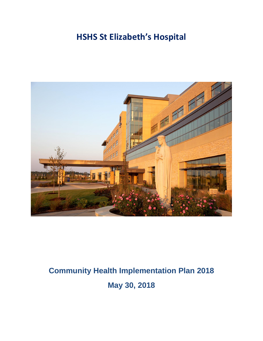## **HSHS St Elizabeth's Hospital**



# **Community Health Implementation Plan 2018 May 30, 2018**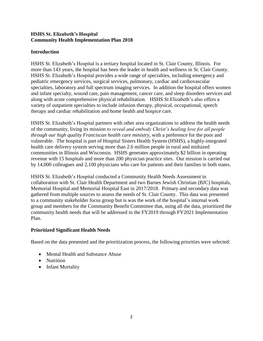#### **HSHS St. Elizabeth's Hospital Community Health Implementation Plan 2018**

#### **Introduction**

HSHS St. Elizabeth's Hospital is a tertiary hospital located in St. Clair County, Illinois. For more than 143 years, the hospital has been the leader in health and wellness in St. Clair County. HSHS St. Elizabeth's Hospital provides a wide range of specialties, including emergency and pediatric emergency services, surgical services, pulmonary, cardiac and cardiovascular specialties, laboratory and full spectrum imaging services. In addition the hospital offers women and infant specialty, wound care, pain management, cancer care, and sleep disorders services and along with acute comprehensive physical rehabilitation. HSHS St Elizabeth's also offers a variety of outpatient specialties to include infusion therapy, physical, occupational, speech therapy and cardiac rehabilitation and home health and hospice care.

HSHS St. Elizabeth's Hospital partners with other area organizations to address the health needs of the community, living its mission *to reveal and embody Christ's healing love for all people through our high quality Franciscan health care ministry*, with a preference for the poor and vulnerable. The hospital is part of Hospital Sisters Health System (HSHS), a highly-integrated health care delivery system serving more than 2.6 million people in rural and midsized communities in Illinois and Wisconsin. HSHS generates approximately \$2 billion in operating revenue with 15 hospitals and more than 200 physician practice sites. Our mission is carried out by 14,000 colleagues and 2,100 physicians who care for patients and their families in both states.

HSHS St. Elizabeth's Hospital conducted a Community Health Needs Assessment in collaboration with St. Clair Health Department and two Barnes Jewish Christian (BJC) hospitals, Memorial Hospital and Memorial Hospital East in 2017/2018. Primary and secondary data was gathered from multiple sources to assess the needs of St. Clair County. This data was presented to a community stakeholder focus group but is was the work of the hospital's internal work group and members for the Community Benefit Committee that, using all the data, prioritized the community health needs that will be addressed in the FY2019 through FY2021 Implementation Plan.

#### **Prioritized Significant Health Needs**

Based on the data presented and the prioritization process, the following priorities were selected:

- Mental Health and Substance Abuse
- Nutrition
- Infant Mortality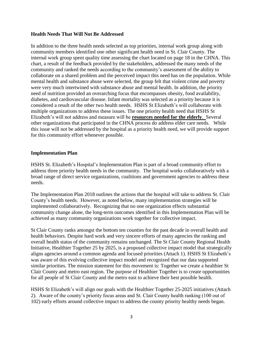#### **Health Needs That Will Not Be Addressed**

In addition to the three health needs selected as top priorities, internal work group along with community members identified one other significant health need in St. Clair County. The internal work group spent quality time assessing the chart located on page 18 in the CHNA. This chart, a result of the feedback provided by the stakeholders, addressed the many needs of the community and ranked the needs according to the community's assessment of the ability to collaborate on a shared problem and the perceived impact this need has on the population. While mental health and substance abuse were selected, the group felt that violent crime and poverty were very much intertwined with substance abuse and mental health. In addition, the priority need of nutrition provided an overarching focus that encompasses obesity, food availability, diabetes, and cardiovascular disease. Infant mortality was selected as a priority because it is considered a result of the other two health needs. HSHS St Elizabeth's will collaborate with multiple organizations to address these issues. The one priority health need that HSHS St Elizabeth's will not address and measure will be **resources needed for the elderly**. Several other organizations that participated in the CHNA process do address elder care needs. While this issue will not be addressed by the hospital as a priority health need, we will provide support for this community effort whenever possible.

#### **Implementation Plan**

HSHS St. Elizabeth's Hospital's Implementation Plan is part of a broad community effort to address three priority health needs in the community. The hospital works collaboratively with a broad range of direct service organizations, coalitions and government agencies to address these needs.

The Implementation Plan 2018 outlines the actions that the hospital will take to address St. Clair County's health needs. However, as noted below, many implementation strategies will be implemented collaboratively. Recognizing that no one organization effects substantial community change alone, the long-term outcomes identified in this Implementation Plan will be achieved as many community organizations work together for collective impact.

St Clair County ranks amongst the bottom ten counties for the past decade in overall health and health behaviors. Despite hard work and very sincere efforts of many agencies the ranking and overall health status of the community remains unchanged. The St Clair County Regional Health Initiative, Healthier Together 25 by 2025, is a proposed collective impact model that strategically aligns agencies around a common agenda and focused priorities (Attach 1). HSHS St Elizabeth's was aware of this evolving collective impact model and recognized that our data supported similar priorities. The mission statement for this movement is: Together we create a healthier St Clair County and metro east region. The purpose of Healthier Together is to create opportunities for all people of St Clair County and the metro east to achieve their best possible health.

HSHS St Elizabeth's will align our goals with the Healthier Together 25-2025 initiatives (Attach 2). Aware of the county's priority focus areas and St. Clair County health ranking (100 out of 102) early efforts around collective impact to address the county priority healthy needs began.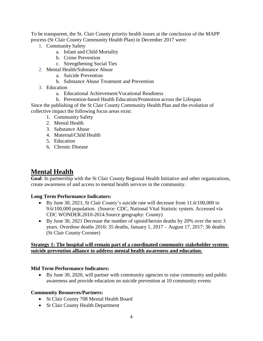To be transparent, the St. Clair County priority health issues at the conclusion of the MAPP process (St Clair County Community Health Plan) in December 2017 were:

- 1. Community Safety
	- a. Infant and Child Mortality
	- b. Crime Prevention
	- c. Strengthening Social Ties
- 2. Mental Health/Substance Abuse
	- a. Suicide Prevention
	- b. Substance Abuse Treatment and Prevention
- 3. Education
	- a. Educational Achievement/Vocational Readiness
	- b. Prevention-based Health Education/Promotion across the Lifespan

Since the publishing of the St Clair County Community Health Plan and the evolution of collective impact the following focus areas exist:

- 1. Community Safety
- 2. Mental Health
- 3. Substance Abuse
- 4. Maternal/Child Health
- 5. Education
- 6. Chronic Disease

## **Mental Health**

**Goal**: In partnership with the St Clair County Regional Health Initiative and other organizations, create awareness of and access to mental health services in the community.

#### **Long Term Performance Indicators:**

- By June 30, 2021, St Clair County's suicide rate will decrease from 11.6/100,000 to 9.6/100,000 population. (Source: CDC, National Vital Statistic system. Accessed via CDC WONDER.2010-2014.Source geography: County)
- By June 30, 2021 Decrease the number of opioid/heroin deaths by 20% over the next 3 years. Overdose deaths 2016: 35 deaths, January 1, 2017 – August 17, 2017: 36 deaths (St Clair County Coroner)

#### **Strategy 1: The hospital will remain part of a coordinated community stakeholder systemsuicide prevention alliance to address mental health awareness and education.**

#### **Mid Term Performance Indicators:**

 By June 30, 2020, will partner with community agencies to raise community and public awareness and provide education on suicide prevention at 10 community events

#### **Community Resources/Partners:**

- St Clair County 708 Mental Health Board
- St Clair County Health Department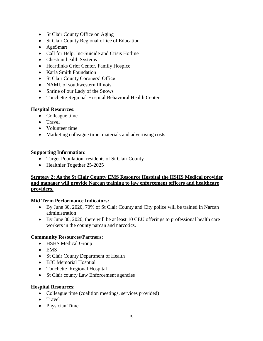- St Clair County Office on Aging
- St Clair County Regional office of Education
- AgeSmart
- Call for Help, Inc-Suicide and Crisis Hotline
- Chestnut health Systems
- Heartlinks Grief Center, Family Hospice
- Karla Smith Foundation
- St Clair County Coroners' Office
- NAMI, of southwestern Illinois
- Shrine of our Lady of the Snows
- Touchette Regional Hospital Behavioral Health Center

#### **Hospital Resources:**

- Colleague time
- Travel
- Volunteer time
- Marketing colleague time, materials and advertising costs

#### **Supporting Information**:

- Target Population: residents of St Clair County
- Healthier Together 25-2025

#### **Strategy 2: As the St Clair County EMS Resource Hospital the HSHS Medical provider and manager will provide Narcan training to law enforcement officers and healthcare providers.**

#### **Mid Term Performance Indicators:**

- By June 30, 2020, 70% of St Clair County and City police will be trained in Narcan administration
- By June 30, 2020, there will be at least 10 CEU offerings to professional health care workers in the county narcan and narcotics.

#### **Community Resources/Partners:**

- HSHS Medical Group
- EMS
- St Clair County Department of Health
- BJC Memorial Hosptial
- Touchette Regional Hospital
- St Clair county Law Enforcement agencies

#### **Hospital Resources**:

- Colleague time (coalition meetings, services provided)
- Travel
- Physician Time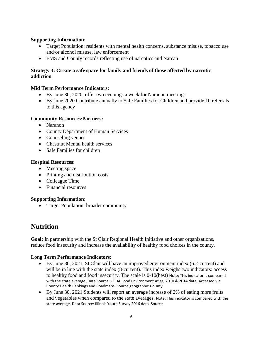#### **Supporting Information**:

- Target Population: residents with mental health concerns, substance misuse, tobacco use and/or alcohol misuse, law enforcement
- EMS and County records reflecting use of narcotics and Narcan

#### **Strategy 3: Create a safe space for family and friends of those affected by narcotic addiction**

#### **Mid Term Performance Indicators:**

- By June 30, 2020, offer two evenings a week for Naranon meetings
- By June 2020 Contribute annually to Safe Families for Children and provide 10 referrals to this agency

#### **Community Resources/Partners:**

- Naranon
- County Department of Human Services
- Counseling venues
- Chestnut Mental health services
- Safe Families for children

#### **Hospital Resources:**

- Meeting space
- Printing and distribution costs
- Colleague Time
- Financial resources

#### **Supporting Information**:

• Target Population: broader community

## **Nutrition**

**Goal:** In partnership with the St Clair Regional Health Initiative and other organizations, reduce food insecurity and increase the availability of healthy food choices in the county.

#### **Long Term Performance Indicators:**

- By June 30, 2021, St Clair will have an improved environment index (6.2-current) and will be in line with the state index (8-current). This index weighs two indicators: access to healthy food and food insecurity. The scale is 0-10(best) Note: This indicator is compared with the state average. Data Source: USDA Food Environment Atlas, 2010 & 2014 data. Accessed via County Health Rankings and Roadmaps. Source geography: County
- By June 30, 2021 Students will report an average increase of 2% of eating more fruits and vegetables when compared to the state averages. Note: This indicator is compared with the state average. Data Source: Illinois Youth Survey 2016 data. Source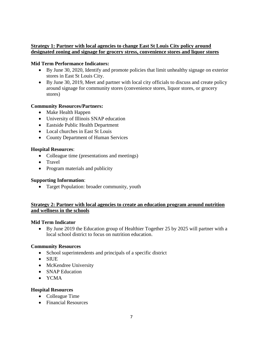#### **Strategy 1: Partner with local agencies to change East St Louis City policy around designated zoning and signage for grocery stress, convenience stores and liquor stores**

#### **Mid Term Performance Indicators:**

- By June 30, 2020, Identify and promote policies that limit unhealthy signage on exterior stores in East St Louis City.
- By June 30, 2019, Meet and partner with local city officials to discuss and create policy around signage for community stores (convenience stores, liquor stores, or grocery stores)

#### **Community Resources/Partners:**

- Make Health Happen
- University of Illinois SNAP education
- Eastside Public Health Department
- Local churches in East St Louis
- County Department of Human Services

#### **Hospital Resources**:

- Colleague time (presentations and meetings)
- Travel
- Program materials and publicity

#### **Supporting Information**:

• Target Population: broader community, youth

#### **Strategy 2: Partner with local agencies to create an education program around nutrition and wellness in the schools**

#### **Mid Term Indicator**

 By June 2019 the Education group of Healthier Together 25 by 2025 will partner with a local school district to focus on nutrition education.

#### **Community Resources**

- School superintendents and principals of a specific district
- SIUE
- McKendree University
- SNAP Education
- YCMA

#### **Hospital Resources**

- Colleague Time
- Financial Resources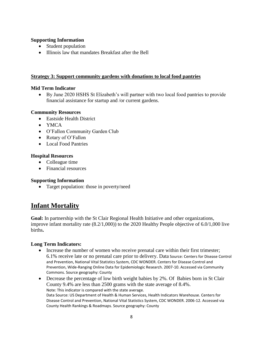#### **Supporting Information**

- Student population
- Illinois law that mandates Breakfast after the Bell

#### **Strategy 3: Support community gardens with donations to local food pantries**

#### **Mid Term Indicator**

 By June 2020 HSHS St Elizabeth's will partner with two local food pantries to provide financial assistance for startup and /or current gardens.

#### **Community Resources**

- Eastside Health District
- YMCA
- O'Fallon Community Garden Club
- Rotary of O'Fallon
- Local Food Pantries

#### **Hospital Resources**

- Colleague time
- Financial resources

#### **Supporting Information**

• Target population: those in poverty/need

## **Infant Mortality**

**Goal:** In partnership with the St Clair Regional Health Initiative and other organizations, improve infant mortality rate (8.2/1,000)) to the 2020 Healthy People objective of 6.0/1,000 live births**.**

#### **Long Term Indicators:**

- Increase the number of women who receive prenatal care within their first trimester; 6.1% receive late or no prenatal care prior to delivery. Data Source: Centers for Disease Control and Prevention, National Vital Statistics System, CDC WONDER. Centers for Disease Control and Prevention, Wide-Ranging Online Data for Epidemiologic Research. 2007-10. Accessed via Community Commons. Source geography: County
- Decrease the percentage of low birth weight babies by 2%. Of Babies born in St Clair County 9.4% are less than 2500 grams with the state average of 8.4%. Note: This indicator is compared with the state average. Data Source: US Department of Health & Human Services, Health Indicators Warehouse. Centers for Disease Control and Prevention, National Vital Statistics System, CDC WONDER. 2006-12. Accessed via County Health Rankings & Roadmaps. Source geography: County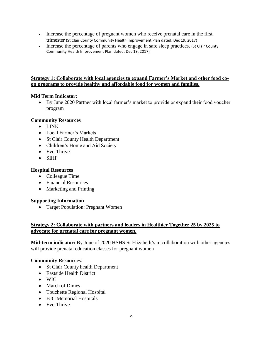- Increase the percentage of pregnant women who receive prenatal care in the first trimester (St Clair County Community Health Improvement Plan dated: Dec 19, 2017)
- Increase the percentage of parents who engage in safe sleep practices. (St Clair County Community Health Improvement Plan dated: Dec 19, 2017)

#### **Strategy 1: Collaborate with local agencies to expand Farmer's Market and other food coop programs to provide healthy and affordable food for women and families.**

#### **Mid Term Indicator:**

 By June 2020 Partner with local farmer's market to provide or expand their food voucher program

#### **Community Resources**

- LINK
- Local Farmer's Markets
- St Clair County Health Department
- Children's Home and Aid Society
- EverThrive
- SIHF

#### **Hospital Resources**

- Colleague Time
- Financial Resources
- Marketing and Printing

#### **Supporting Information**

Target Population: Pregnant Women

#### **Strategy 2: Collaborate with partners and leaders in Healthier Together 25 by 2025 to advocate for prenatal care for pregnant women.**

**Mid-term indicator:** By June of 2020 HSHS St Elizabeth's in collaboration with other agencies will provide prenatal education classes for pregnant women

#### **Community Resources**:

- St Clair County health Department
- Eastside Health District
- WIC
- March of Dimes
- Touchette Regional Hospital
- BJC Memorial Hospitals
- EverThrive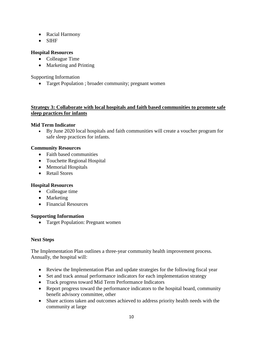- Racial Harmony
- SIHF

#### **Hospital Resources**

- Colleague Time
- Marketing and Printing

Supporting Information

• Target Population ; broader community; pregnant women

#### **Strategy 3: Collaborate with local hospitals and faith based communities to promote safe sleep practices for infants**

#### **Mid Term Indicator**

 By June 2020 local hospitals and faith communities will create a voucher program for safe sleep practices for infants.

#### **Community Resources**

- Faith based communities
- Touchette Regional Hospital
- Memorial Hospitals
- Retail Stores

#### **Hospital Resources**

- Colleague time
- Marketing
- Financial Resources

#### **Supporting Information**

• Target Population: Pregnant women

#### **Next Steps**

The Implementation Plan outlines a three-year community health improvement process. Annually, the hospital will:

- Review the Implementation Plan and update strategies for the following fiscal year
- Set and track annual performance indicators for each implementation strategy
- Track progress toward Mid Term Performance Indicators
- Report progress toward the performance indicators to the hospital board, community benefit advisory committee, other
- Share actions taken and outcomes achieved to address priority health needs with the community at large